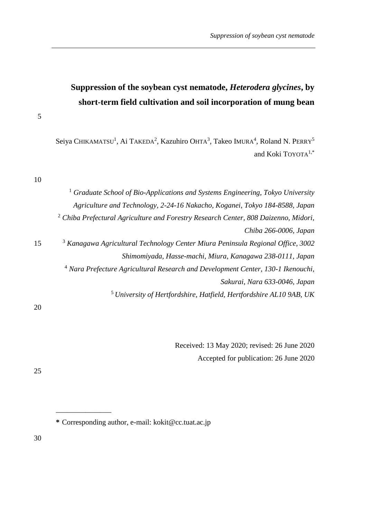# **Suppression of the soybean cyst nematode,** *Heterodera glycines***, by short-term field cultivation and soil incorporation of mung bean**

Seiya CHIKAMATSU<sup>1</sup>, Ai TAKEDA<sup>2</sup>, Kazuhiro OHTA<sup>3</sup>, Takeo IMURA<sup>4</sup>, Roland N. PERRY<sup>5</sup> and Koki TOYOTA<sup>1,\*</sup>

10

|    | <sup>1</sup> Graduate School of Bio-Applications and Systems Engineering, Tokyo University     |
|----|------------------------------------------------------------------------------------------------|
|    | Agriculture and Technology, 2-24-16 Nakacho, Koganei, Tokyo 184-8588, Japan                    |
|    | <sup>2</sup> Chiba Prefectural Agriculture and Forestry Research Center, 808 Daizenno, Midori, |
|    | Chiba 266-0006, Japan                                                                          |
| 15 | <sup>3</sup> Kanagawa Agricultural Technology Center Miura Peninsula Regional Office, 3002     |
|    | Shimomiyada, Hasse-machi, Miura, Kanagawa 238-0111, Japan                                      |
|    | <sup>4</sup> Nara Prefecture Agricultural Research and Development Center, 130-1 Ikenouchi,    |
|    | Sakurai, Nara 633-0046, Japan                                                                  |
|    | <sup>5</sup> University of Hertfordshire, Hatfield, Hertfordshire AL10 9AB, UK                 |
| 20 |                                                                                                |

Received: 13 May 2020; revised: 26 June 2020 Accepted for publication: 26 June 2020

25

**\*** Corresponding author, e-mail: kokit@cc.tuat.ac.jp

\_\_\_\_\_\_\_\_\_\_\_\_\_\_\_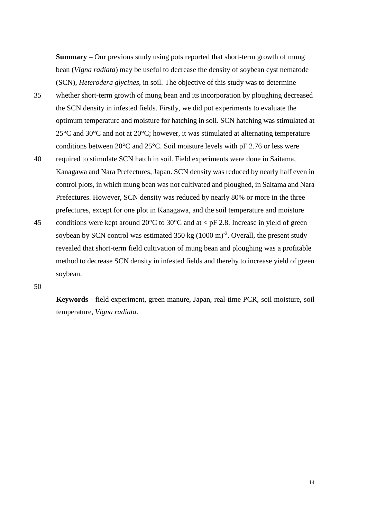**Summary –** Our previous study using pots reported that short-term growth of mung bean (*Vigna radiata*) may be useful to decrease the density of soybean cyst nematode (SCN), *Heterodera glycines*, in soil. The objective of this study was to determine 35 whether short-term growth of mung bean and its incorporation by ploughing decreased the SCN density in infested fields. Firstly, we did pot experiments to evaluate the optimum temperature and moisture for hatching in soil. SCN hatching was stimulated at 25°C and 30°C and not at 20°C; however, it was stimulated at alternating temperature conditions between 20°C and 25°C. Soil moisture levels with pF 2.76 or less were 40 required to stimulate SCN hatch in soil. Field experiments were done in Saitama, Kanagawa and Nara Prefectures, Japan. SCN density was reduced by nearly half even in

control plots, in which mung bean was not cultivated and ploughed, in Saitama and Nara Prefectures. However, SCN density was reduced by nearly 80% or more in the three prefectures, except for one plot in Kanagawa, and the soil temperature and moisture 45 conditions were kept around 20 $^{\circ}$ C to 30 $^{\circ}$ C and at < pF 2.8. Increase in yield of green soybean by SCN control was estimated  $350 \text{ kg } (1000 \text{ m})^2$ . Overall, the present study revealed that short-term field cultivation of mung bean and ploughing was a profitable method to decrease SCN density in infested fields and thereby to increase yield of green soybean.

50

**Keywords -** field experiment, green manure, Japan, real-time PCR, soil moisture, soil temperature, *Vigna radiata*.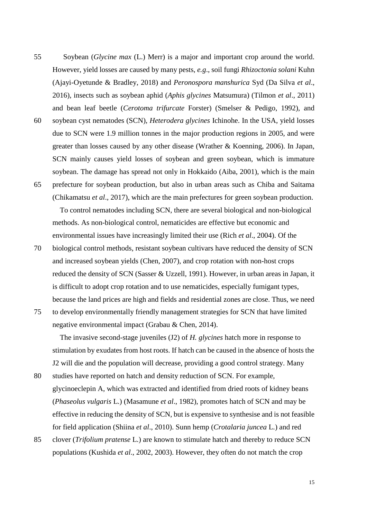- 55 Soybean (*Glycine max* (L.) Merr) is a major and important crop around the world. However, yield losses are caused by many pests, *e.g*., soil fungi *Rhizoctonia solani* Kuhn (Ajayi-Oyetunde & Bradley, 2018) and *Peronospora manshurica* Syd (Da Silva *et al*., 2016), insects such as soybean aphid (*Aphis glycines* Matsumura) (Tilmon *et al*., 2011) and bean leaf beetle (*Cerotoma trifurcate* Forster) (Smelser & Pedigo, 1992), and
- 60 soybean cyst nematodes (SCN), *Heterodera glycines* Ichinohe. In the USA, yield losses due to SCN were 1.9 million tonnes in the major production regions in 2005, and were greater than losses caused by any other disease (Wrather & Koenning, 2006). In Japan, SCN mainly causes yield losses of soybean and green soybean, which is immature soybean. The damage has spread not only in Hokkaido (Aiba, 2001), which is the main 65 prefecture for soybean production, but also in urban areas such as Chiba and Saitama (Chikamatsu *et al*., 2017), which are the main prefectures for green soybean production.

To control nematodes including SCN, there are several biological and non-biological methods. As non-biological control, nematicides are effective but economic and environmental issues have increasingly limited their use (Rich *et al*., 2004). Of the

- 70 biological control methods, resistant soybean cultivars have reduced the density of SCN and increased soybean yields (Chen, 2007), and crop rotation with non-host crops reduced the density of SCN (Sasser & Uzzell, 1991). However, in urban areas in Japan, it is difficult to adopt crop rotation and to use nematicides, especially fumigant types, because the land prices are high and fields and residential zones are close. Thus, we need
- 75 to develop environmentally friendly management strategies for SCN that have limited negative environmental impact (Grabau & Chen, 2014).

The invasive second-stage juveniles (J2) of *H. glycines* hatch more in response to stimulation by exudates from host roots. If hatch can be caused in the absence of hosts the J2 will die and the population will decrease, providing a good control strategy. Many

- 80 studies have reported on hatch and density reduction of SCN. For example, glycinoeclepin A, which was extracted and identified from dried roots of kidney beans (*Phaseolus vulgaris* L.) (Masamune *et al*., 1982), promotes hatch of SCN and may be effective in reducing the density of SCN, but is expensive to synthesise and is not feasible for field application (Shiina *et al*., 2010). Sunn hemp (*Crotalaria juncea* L.) and red
- 85 clover (*Trifolium pratense* L.) are known to stimulate hatch and thereby to reduce SCN populations (Kushida *et al*., 2002, 2003). However, they often do not match the crop

15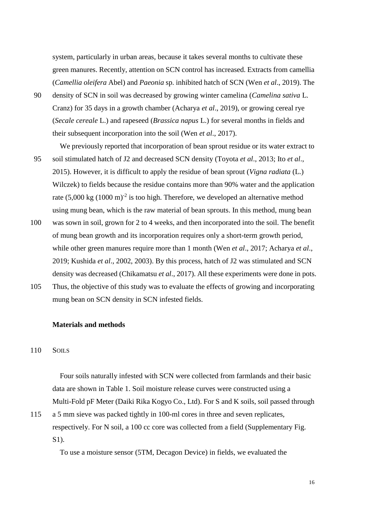system, particularly in urban areas, because it takes several months to cultivate these green manures. Recently, attention on SCN control has increased. Extracts from camellia (*Camellia oleifera* Abel) and *Paeonia* sp. inhibited hatch of SCN (Wen *et al*., 2019). The

- 90 density of SCN in soil was decreased by growing winter camelina (*Camelina sativa* L. Cranz) for 35 days in a growth chamber (Acharya *et al*., 2019), or growing cereal rye (*Secale cereale* L.) and rapeseed (*Brassica napus* L.) for several months in fields and their subsequent incorporation into the soil (Wen *et al*., 2017).
- We previously reported that incorporation of bean sprout residue or its water extract to 95 soil stimulated hatch of J2 and decreased SCN density (Toyota *et al*., 2013; Ito *et al*., 2015). However, it is difficult to apply the residue of bean sprout (*Vigna radiata* (L.) Wilczek) to fields because the residue contains more than 90% water and the application rate  $(5,000 \text{ kg } (1000 \text{ m})^2$  is too high. Therefore, we developed an alternative method using mung bean, which is the raw material of bean sprouts. In this method, mung bean
- 100 was sown in soil, grown for 2 to 4 weeks, and then incorporated into the soil. The benefit of mung bean growth and its incorporation requires only a short-term growth period, while other green manures require more than 1 month (Wen *et al*., 2017; Acharya *et al*., 2019; Kushida *et al*., 2002, 2003). By this process, hatch of J2 was stimulated and SCN density was decreased (Chikamatsu *et al*., 2017). All these experiments were done in pots.
- 105 Thus, the objective of this study was to evaluate the effects of growing and incorporating mung bean on SCN density in SCN infested fields.

## **Materials and methods**

## 110 SOILS

Four soils naturally infested with SCN were collected from farmlands and their basic data are shown in Table 1. Soil moisture release curves were constructed using a Multi-Fold pF Meter (Daiki Rika Kogyo Co., Ltd). For S and K soils, soil passed through

115 a 5 mm sieve was packed tightly in 100-ml cores in three and seven replicates, respectively. For N soil, a 100 cc core was collected from a field (Supplementary Fig. S1).

To use a moisture sensor (5TM, Decagon Device) in fields, we evaluated the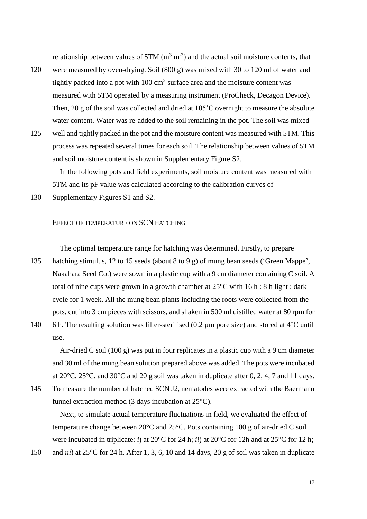relationship between values of 5TM  $(m^3 m^{-3})$  and the actual soil moisture contents, that

- 120 were measured by oven-drying. Soil (800 g) was mixed with 30 to 120 ml of water and tightly packed into a pot with  $100 \text{ cm}^2$  surface area and the moisture content was measured with 5TM operated by a measuring instrument (ProCheck, Decagon Device). Then, 20 g of the soil was collected and dried at 105˚C overnight to measure the absolute water content. Water was re-added to the soil remaining in the pot. The soil was mixed
- 125 well and tightly packed in the pot and the moisture content was measured with 5TM. This process was repeated several times for each soil. The relationship between values of 5TM and soil moisture content is shown in Supplementary Figure S2.

In the following pots and field experiments, soil moisture content was measured with 5TM and its pF value was calculated according to the calibration curves of

130 Supplementary Figures S1 and S2.

## EFFECT OF TEMPERATURE ON SCN HATCHING

The optimal temperature range for hatching was determined. Firstly, to prepare

- 135 hatching stimulus, 12 to 15 seeds (about 8 to 9 g) of mung bean seeds ('Green Mappe', Nakahara Seed Co.) were sown in a plastic cup with a 9 cm diameter containing C soil. A total of nine cups were grown in a growth chamber at  $25^{\circ}$ C with 16 h : 8 h light : dark cycle for 1 week. All the mung bean plants including the roots were collected from the pots, cut into 3 cm pieces with scissors, and shaken in 500 ml distilled water at 80 rpm for
- 140 6 h. The resulting solution was filter-sterilised (0.2  $\mu$ m pore size) and stored at 4<sup>o</sup>C until use.

Air-dried C soil (100 g) was put in four replicates in a plastic cup with a 9 cm diameter and 30 ml of the mung bean solution prepared above was added. The pots were incubated at 20°C, 25°C, and 30°C and 20 g soil was taken in duplicate after 0, 2, 4, 7 and 11 days.

145 To measure the number of hatched SCN J2, nematodes were extracted with the Baermann funnel extraction method (3 days incubation at 25°C).

Next, to simulate actual temperature fluctuations in field, we evaluated the effect of temperature change between 20°C and 25°C. Pots containing 100 g of air-dried C soil were incubated in triplicate: *i*) at 20°C for 24 h; *ii*) at 20°C for 12h and at 25°C for 12 h;

150 and *iii*) at 25°C for 24 h. After 1, 3, 6, 10 and 14 days, 20 g of soil was taken in duplicate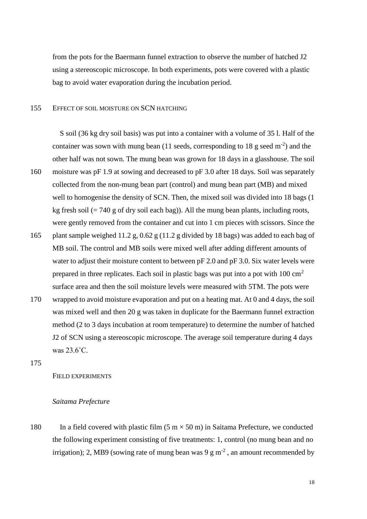from the pots for the Baermann funnel extraction to observe the number of hatched J2 using a stereoscopic microscope. In both experiments, pots were covered with a plastic bag to avoid water evaporation during the incubation period.

## 155 EFFECT OF SOIL MOISTURE ON SCN HATCHING

S soil (36 kg dry soil basis) was put into a container with a volume of 35 l. Half of the container was sown with mung bean (11 seeds, corresponding to 18 g seed  $m^{-2}$ ) and the other half was not sown. The mung bean was grown for 18 days in a glasshouse. The soil 160 moisture was pF 1.9 at sowing and decreased to pF 3.0 after 18 days. Soil was separately collected from the non-mung bean part (control) and mung bean part (MB) and mixed well to homogenise the density of SCN. Then, the mixed soil was divided into 18 bags (1 kg fresh soil  $(= 740 \text{ g of dry soil each bag})$ . All the mung bean plants, including roots,

were gently removed from the container and cut into 1 cm pieces with scissors. Since the

- 165 plant sample weighed 11.2 g, 0.62 g (11.2 g divided by 18 bags) was added to each bag of MB soil. The control and MB soils were mixed well after adding different amounts of water to adjust their moisture content to between pF 2.0 and pF 3.0. Six water levels were prepared in three replicates. Each soil in plastic bags was put into a pot with  $100 \text{ cm}^2$ surface area and then the soil moisture levels were measured with 5TM. The pots were
- 170 wrapped to avoid moisture evaporation and put on a heating mat. At 0 and 4 days, the soil was mixed well and then 20 g was taken in duplicate for the Baermann funnel extraction method (2 to 3 days incubation at room temperature) to determine the number of hatched J2 of SCN using a stereoscopic microscope. The average soil temperature during 4 days was 23.6˚C.

175

# FIELD EXPERIMENTS

# *Saitama Prefecture*

180 In a field covered with plastic film  $(5 \text{ m} \times 50 \text{ m})$  in Saitama Prefecture, we conducted the following experiment consisting of five treatments: 1, control (no mung bean and no irrigation); 2, MB9 (sowing rate of mung bean was  $9 \text{ g m}^2$ , an amount recommended by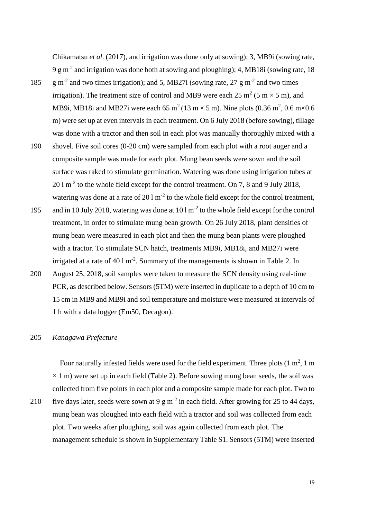Chikamatsu *et al*. (2017), and irrigation was done only at sowing); 3, MB9i (sowing rate, 9 g m<sup>-2</sup> and irrigation was done both at sowing and ploughing); 4, MB18i (sowing rate, 18

- 185 g m<sup>-2</sup> and two times irrigation); and 5, MB27i (sowing rate, 27 g m<sup>-2</sup> and two times irrigation). The treatment size of control and MB9 were each 25 m<sup>2</sup> (5 m  $\times$  5 m), and MB9i, MB18i and MB27i were each 65 m<sup>2</sup> (13 m  $\times$  5 m). Nine plots (0.36 m<sup>2</sup>, 0.6 m $\times$ 0.6 m) were set up at even intervals in each treatment. On 6 July 2018 (before sowing), tillage was done with a tractor and then soil in each plot was manually thoroughly mixed with a
- 190 shovel. Five soil cores (0-20 cm) were sampled from each plot with a root auger and a composite sample was made for each plot. Mung bean seeds were sown and the soil surface was raked to stimulate germination. Watering was done using irrigation tubes at 20 l m<sup>-2</sup> to the whole field except for the control treatment. On 7, 8 and 9 July 2018, watering was done at a rate of  $20 \, \text{l m}^{-2}$  to the whole field except for the control treatment,
- 195 and in 10 July 2018, watering was done at  $10 \, \text{Im}^2$  to the whole field except for the control treatment, in order to stimulate mung bean growth. On 26 July 2018, plant densities of mung bean were measured in each plot and then the mung bean plants were ploughed with a tractor. To stimulate SCN hatch, treatments MB9i, MB18i, and MB27i were irrigated at a rate of  $40 \, \text{l m}^{-2}$ . Summary of the managements is shown in Table 2. In
- 200 August 25, 2018, soil samples were taken to measure the SCN density using real-time PCR, as described below. Sensors (5TM) were inserted in duplicate to a depth of 10 cm to 15 cm in MB9 and MB9i and soil temperature and moisture were measured at intervals of 1 h with a data logger (Em50, Decagon).

#### 205 *Kanagawa Prefecture*

Four naturally infested fields were used for the field experiment. Three plots  $(1 \text{ m}^2, 1 \text{ m})$  $\times$  1 m) were set up in each field (Table 2). Before sowing mung bean seeds, the soil was collected from five points in each plot and a composite sample made for each plot. Two to

210 five days later, seeds were sown at 9 g m<sup>-2</sup> in each field. After growing for 25 to 44 days, mung bean was ploughed into each field with a tractor and soil was collected from each plot. Two weeks after ploughing, soil was again collected from each plot. The management schedule is shown in Supplementary Table S1. Sensors (5TM) were inserted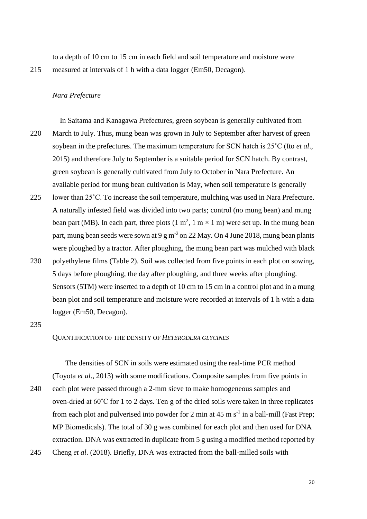to a depth of 10 cm to 15 cm in each field and soil temperature and moisture were 215 measured at intervals of 1 h with a data logger (Em50, Decagon).

## *Nara Prefecture*

In Saitama and Kanagawa Prefectures, green soybean is generally cultivated from 220 March to July. Thus, mung bean was grown in July to September after harvest of green soybean in the prefectures. The maximum temperature for SCN hatch is 25˚C (Ito *et al*., 2015) and therefore July to September is a suitable period for SCN hatch. By contrast, green soybean is generally cultivated from July to October in Nara Prefecture. An available period for mung bean cultivation is May, when soil temperature is generally

- 225 lower than 25˚C. To increase the soil temperature, mulching was used in Nara Prefecture. A naturally infested field was divided into two parts; control (no mung bean) and mung bean part (MB). In each part, three plots  $(1 \text{ m}^2, 1 \text{ m} \times 1 \text{ m})$  were set up. In the mung bean part, mung bean seeds were sown at 9 g m<sup>-2</sup> on 22 May. On 4 June 2018, mung bean plants were ploughed by a tractor. After ploughing, the mung bean part was mulched with black
- 230 polyethylene films (Table 2). Soil was collected from five points in each plot on sowing, 5 days before ploughing, the day after ploughing, and three weeks after ploughing. Sensors (5TM) were inserted to a depth of 10 cm to 15 cm in a control plot and in a mung bean plot and soil temperature and moisture were recorded at intervals of 1 h with a data logger (Em50, Decagon).

235

# QUANTIFICATION OF THE DENSITY OF *HETERODERA GLYCINES*

The densities of SCN in soils were estimated using the real-time PCR method (Toyota *et al*., 2013) with some modifications. Composite samples from five points in

240 each plot were passed through a 2-mm sieve to make homogeneous samples and oven-dried at 60˚C for 1 to 2 days. Ten g of the dried soils were taken in three replicates from each plot and pulverised into powder for 2 min at  $45 \text{ m s}^{-1}$  in a ball-mill (Fast Prep; MP Biomedicals). The total of 30 g was combined for each plot and then used for DNA extraction. DNA was extracted in duplicate from 5 g using a modified method reported by 245 Cheng *et al*. (2018). Briefly, DNA was extracted from the ball-milled soils with

20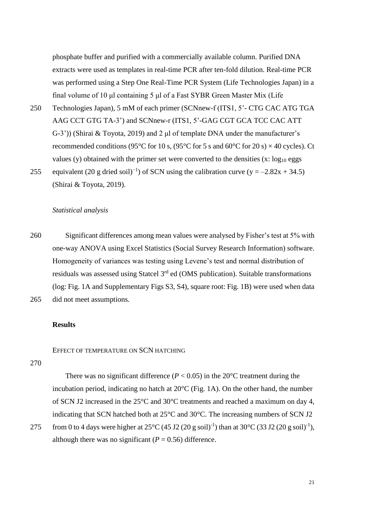phosphate buffer and purified with a commercially available column. Purified DNA extracts were used as templates in real-time PCR after ten-fold dilution. Real-time PCR was performed using a Step One Real-Time PCR System (Life Technologies Japan) in a final volume of 10 μl containing 5 μl of a Fast SYBR Green Master Mix (Life

250 Technologies Japan), 5 mM of each primer (SCNnew-f (ITS1, 5'- CTG CAC ATG TGA AAG CCT GTG TA-3') and SCNnew-r (ITS1, 5'-GAG CGT GCA TCC CAC ATT G-3')) (Shirai & Toyota, 2019) and 2 μl of template DNA under the manufacturer's recommended conditions (95 $\degree$ C for 10 s, (95 $\degree$ C for 5 s and 60 $\degree$ C for 20 s)  $\times$  40 cycles). Ct values (y) obtained with the primer set were converted to the densities  $(x: log<sub>10</sub> egs)$ 255 equivalent (20 g dried soil)<sup>-1</sup>) of SCN using the calibration curve (y =  $-2.82x + 34.5$ )

## *Statistical analysis*

(Shirai & Toyota, 2019).

260 Significant differences among mean values were analysed by Fisher's test at 5% with one-way ANOVA using Excel Statistics (Social Survey Research Information) software. Homogeneity of variances was testing using Levene's test and normal distribution of residuals was assessed using Statcel  $3<sup>rd</sup>$  ed (OMS publication). Suitable transformations (log: Fig. 1A and Supplementary Figs S3, S4), square root: Fig. 1B) were used when data 265 did not meet assumptions.

### **Results**

# EFFECT OF TEMPERATURE ON SCN HATCHING

270

There was no significant difference ( $P < 0.05$ ) in the 20<sup>o</sup>C treatment during the incubation period, indicating no hatch at 20°C (Fig. 1A). On the other hand, the number of SCN J2 increased in the 25°C and 30°C treatments and reached a maximum on day 4, indicating that SCN hatched both at 25°C and 30°C. The increasing numbers of SCN J2

275 from 0 to 4 days were higher at  $25^{\circ}$ C (45 J2 (20 g soil)<sup>-1</sup>) than at 30°C (33 J2 (20 g soil)<sup>-1</sup>), although there was no significant ( $P = 0.56$ ) difference.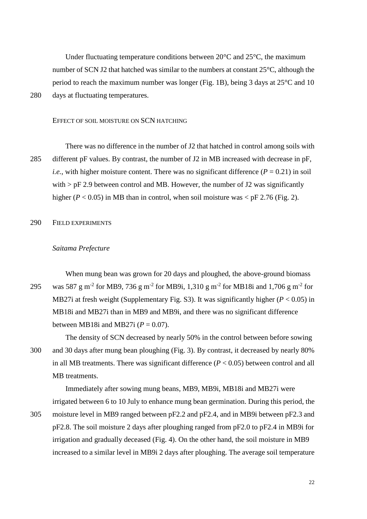Under fluctuating temperature conditions between  $20^{\circ}$ C and  $25^{\circ}$ C, the maximum number of SCN J2 that hatched was similar to the numbers at constant 25°C, although the period to reach the maximum number was longer (Fig. 1B), being 3 days at 25°C and 10 280 days at fluctuating temperatures.

# EFFECT OF SOIL MOISTURE ON SCN HATCHING

There was no difference in the number of J2 that hatched in control among soils with 285 different pF values. By contrast, the number of J2 in MB increased with decrease in pF, *i.e.*, with higher moisture content. There was no significant difference ( $P = 0.21$ ) in soil with  $>$  pF 2.9 between control and MB. However, the number of J2 was significantly higher ( $P < 0.05$ ) in MB than in control, when soil moisture was  $\lt pF$  2.76 (Fig. 2).

290 FIELD EXPERIMENTS

# *Saitama Prefecture*

When mung bean was grown for 20 days and ploughed, the above-ground biomass 295 was 587 g m<sup>-2</sup> for MB9, 736 g m<sup>-2</sup> for MB9i, 1,310 g m<sup>-2</sup> for MB18i and 1,706 g m<sup>-2</sup> for MB27i at fresh weight (Supplementary Fig. S3). It was significantly higher (*P* < 0.05) in MB18i and MB27i than in MB9 and MB9i, and there was no significant difference between MB18i and MB27i  $(P = 0.07)$ .

The density of SCN decreased by nearly 50% in the control between before sowing 300 and 30 days after mung bean ploughing (Fig. 3). By contrast, it decreased by nearly 80% in all MB treatments. There was significant difference  $(P < 0.05)$  between control and all MB treatments.

irrigated between 6 to 10 July to enhance mung bean germination. During this period, the 305 moisture level in MB9 ranged between pF2.2 and pF2.4, and in MB9i between pF2.3 and pF2.8. The soil moisture 2 days after ploughing ranged from pF2.0 to pF2.4 in MB9i for irrigation and gradually deceased (Fig. 4). On the other hand, the soil moisture in MB9 increased to a similar level in MB9i 2 days after ploughing. The average soil temperature

Immediately after sowing mung beans, MB9, MB9i, MB18i and MB27i were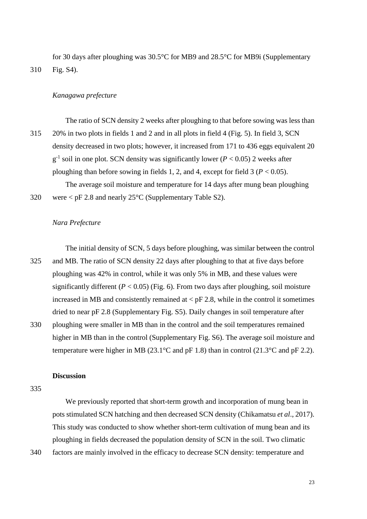for 30 days after ploughing was 30.5°C for MB9 and 28.5°C for MB9i (Supplementary 310 Fig. S4).

## *Kanagawa prefecture*

The ratio of SCN density 2 weeks after ploughing to that before sowing was less than 315 20% in two plots in fields 1 and 2 and in all plots in field 4 (Fig. 5). In field 3, SCN density decreased in two plots; however, it increased from 171 to 436 eggs equivalent 20  $g^{-1}$  soil in one plot. SCN density was significantly lower ( $P < 0.05$ ) 2 weeks after ploughing than before sowing in fields 1, 2, and 4, except for field  $3 (P < 0.05)$ . The average soil moisture and temperature for 14 days after mung bean ploughing

320 were < pF 2.8 and nearly 25°C (Supplementary Table S2).

### *Nara Prefecture*

The initial density of SCN, 5 days before ploughing, was similar between the control 325 and MB. The ratio of SCN density 22 days after ploughing to that at five days before ploughing was 42% in control, while it was only 5% in MB, and these values were significantly different  $(P < 0.05)$  (Fig. 6). From two days after ploughing, soil moisture increased in MB and consistently remained at  $\langle$  pF 2.8, while in the control it sometimes dried to near pF 2.8 (Supplementary Fig. S5). Daily changes in soil temperature after 330 ploughing were smaller in MB than in the control and the soil temperatures remained higher in MB than in the control (Supplementary Fig. S6). The average soil moisture and temperature were higher in MB (23.1 $\degree$ C and pF 1.8) than in control (21.3 $\degree$ C and pF 2.2).

# **Discussion**

335

We previously reported that short-term growth and incorporation of mung bean in pots stimulated SCN hatching and then decreased SCN density (Chikamatsu *et al*., 2017). This study was conducted to show whether short-term cultivation of mung bean and its ploughing in fields decreased the population density of SCN in the soil. Two climatic 340 factors are mainly involved in the efficacy to decrease SCN density: temperature and

23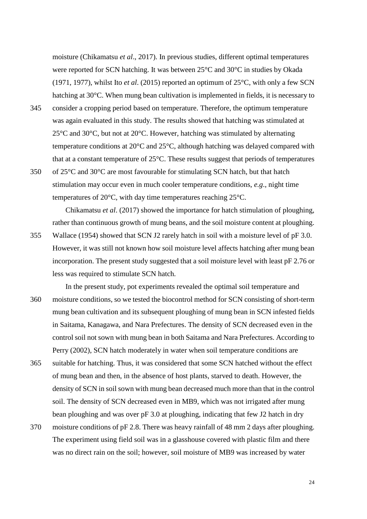moisture (Chikamatsu *et al*., 2017). In previous studies, different optimal temperatures were reported for SCN hatching. It was between 25°C and 30°C in studies by Okada (1971, 1977), whilst Ito *et al*. (2015) reported an optimum of 25°C, with only a few SCN hatching at 30°C. When mung bean cultivation is implemented in fields, it is necessary to

- 345 consider a cropping period based on temperature. Therefore, the optimum temperature was again evaluated in this study. The results showed that hatching was stimulated at 25°C and 30°C, but not at 20°C. However, hatching was stimulated by alternating temperature conditions at 20°C and 25°C, although hatching was delayed compared with that at a constant temperature of 25°C. These results suggest that periods of temperatures
- 350 of 25°C and 30°C are most favourable for stimulating SCN hatch, but that hatch stimulation may occur even in much cooler temperature conditions, *e.g*., night time temperatures of 20°C, with day time temperatures reaching 25°C.

Chikamatsu *et al*. (2017) showed the importance for hatch stimulation of ploughing, rather than continuous growth of mung beans, and the soil moisture content at ploughing. 355 Wallace (1954) showed that SCN J2 rarely hatch in soil with a moisture level of pF 3.0. However, it was still not known how soil moisture level affects hatching after mung bean incorporation. The present study suggested that a soil moisture level with least pF 2.76 or less was required to stimulate SCN hatch.

- In the present study, pot experiments revealed the optimal soil temperature and 360 moisture conditions, so we tested the biocontrol method for SCN consisting of short-term mung bean cultivation and its subsequent ploughing of mung bean in SCN infested fields in Saitama, Kanagawa, and Nara Prefectures. The density of SCN decreased even in the control soil not sown with mung bean in both Saitama and Nara Prefectures. According to Perry (2002), SCN hatch moderately in water when soil temperature conditions are
- 365 suitable for hatching. Thus, it was considered that some SCN hatched without the effect of mung bean and then, in the absence of host plants, starved to death. However, the density of SCN in soil sown with mung bean decreased much more than that in the control soil. The density of SCN decreased even in MB9, which was not irrigated after mung bean ploughing and was over pF 3.0 at ploughing, indicating that few J2 hatch in dry
- 370 moisture conditions of pF 2.8. There was heavy rainfall of 48 mm 2 days after ploughing. The experiment using field soil was in a glasshouse covered with plastic film and there was no direct rain on the soil; however, soil moisture of MB9 was increased by water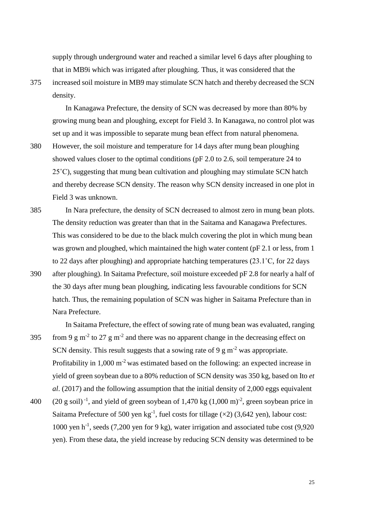supply through underground water and reached a similar level 6 days after ploughing to that in MB9i which was irrigated after ploughing. Thus, it was considered that the

375 increased soil moisture in MB9 may stimulate SCN hatch and thereby decreased the SCN density.

In Kanagawa Prefecture, the density of SCN was decreased by more than 80% by growing mung bean and ploughing, except for Field 3. In Kanagawa, no control plot was set up and it was impossible to separate mung bean effect from natural phenomena.

- 380 However, the soil moisture and temperature for 14 days after mung bean ploughing showed values closer to the optimal conditions (pF 2.0 to 2.6, soil temperature 24 to 25˚C), suggesting that mung bean cultivation and ploughing may stimulate SCN hatch and thereby decrease SCN density. The reason why SCN density increased in one plot in Field 3 was unknown.
- 385 In Nara prefecture, the density of SCN decreased to almost zero in mung bean plots. The density reduction was greater than that in the Saitama and Kanagawa Prefectures. This was considered to be due to the black mulch covering the plot in which mung bean was grown and ploughed, which maintained the high water content (pF 2.1 or less, from 1 to 22 days after ploughing) and appropriate hatching temperatures (23.1˚C, for 22 days
- 390 after ploughing). In Saitama Prefecture, soil moisture exceeded pF 2.8 for nearly a half of the 30 days after mung bean ploughing, indicating less favourable conditions for SCN hatch. Thus, the remaining population of SCN was higher in Saitama Prefecture than in Nara Prefecture.

In Saitama Prefecture, the effect of sowing rate of mung bean was evaluated, ranging 395 from 9 g m<sup>-2</sup> to 27 g m<sup>-2</sup> and there was no apparent change in the decreasing effect on SCN density. This result suggests that a sowing rate of 9 g  $m<sup>2</sup>$  was appropriate. Profitability in  $1,000 \text{ m}^{-2}$  was estimated based on the following: an expected increase in

yield of green soybean due to a 80% reduction of SCN density was 350 kg, based on Ito *et al*. (2017) and the following assumption that the initial density of 2,000 eggs equivalent

400  $(20 \text{ g soil})^{-1}$ , and yield of green soybean of 1,470 kg  $(1,000 \text{ m})^{-2}$ , green soybean price in Saitama Prefecture of 500 yen  $kg^{-1}$ , fuel costs for tillage ( $\times$ 2) (3,642 yen), labour cost: 1000 yen h<sup>-1</sup>, seeds (7,200 yen for 9 kg), water irrigation and associated tube cost (9,920 yen). From these data, the yield increase by reducing SCN density was determined to be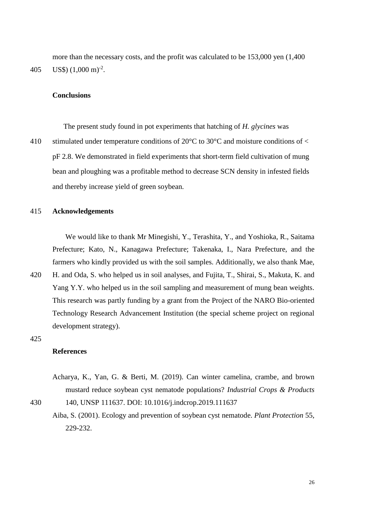more than the necessary costs, and the profit was calculated to be 153,000 yen (1,400 405 US\$)  $(1,000 \text{ m})^{\text{-}2}$ .

## **Conclusions**

The present study found in pot experiments that hatching of *H. glycines* was

410 stimulated under temperature conditions of  $20^{\circ}$ C to  $30^{\circ}$ C and moisture conditions of  $\lt$ pF 2.8. We demonstrated in field experiments that short-term field cultivation of mung bean and ploughing was a profitable method to decrease SCN density in infested fields and thereby increase yield of green soybean.

## 415 **Acknowledgements**

We would like to thank Mr Minegishi, Y., Terashita, Y., and Yoshioka, R., Saitama Prefecture; Kato, N., Kanagawa Prefecture; Takenaka, I., Nara Prefecture, and the farmers who kindly provided us with the soil samples. Additionally, we also thank Mae,

420 H. and Oda, S. who helped us in soil analyses, and Fujita, T., Shirai, S., Makuta, K. and Yang Y.Y. who helped us in the soil sampling and measurement of mung bean weights. This research was partly funding by a grant from the Project of the NARO Bio-oriented Technology Research Advancement Institution (the special scheme project on regional development strategy).

## 425

# **References**

Acharya, K., Yan, G. & Berti, M. (2019). Can winter camelina, crambe, and brown mustard reduce soybean cyst nematode populations? *Industrial Crops & Products*

430 140, UNSP 111637. DOI: 10.1016/j.indcrop.2019.111637

Aiba, S. (2001). Ecology and prevention of soybean cyst nematode. *Plant Protection* 55, 229-232.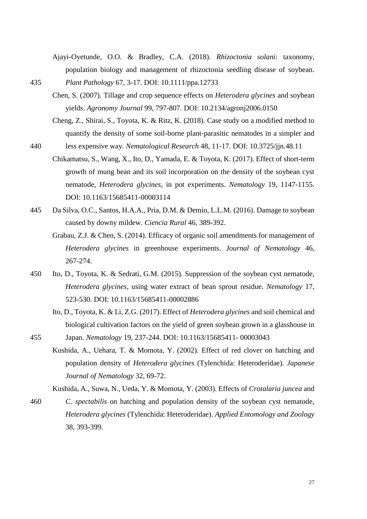Ajayi-Oyetunde, O.O. & Bradley, C.A. (2018). *Rhizoctonia solani*: taxonomy, population biology and management of rhizoctonia seedling disease of soybean. 435 *Plant Pathology* 67, 3-17. DOI: 10.1111/ppa.12733

- Chen, S. (2007). Tillage and crop sequence effects on *Heterodera glycines* and soybean yields. *Agronomy Journal* 99, 797-807. DOI: 10.2134/agronj2006.0150
- Cheng, Z., Shirai, S., Toyota, K. & Ritz, K. (2018). Case study on a modified method to quantify the density of some soil-borne plant-parasitic nematodes in a simpler and
- 440 less expensive way. *Nematological Research* 48, 11-17. DOI: 10.3725/jjn.48.11
	- Chikamatsu, S., Wang, X., Ito, D., Yamada, E. & Toyota, K. (2017). Effect of short-term growth of mung bean and its soil incorporation on the density of the soybean cyst nematode, *Heterodera glycines*, in pot experiments. *Nematology* 19, 1147-1155. DOI: 10.1163/15685411-00003114
- 445 Da Silva, O.C., Santos, H.A.A., Pria, D.M. & Demio, L.L.M. (2016). Damage to soybean caused by downy mildew. *Ciencia Rural* 46, 389-392.
	- Grabau, Z.J. & Chen, S. (2014). Efficacy of organic soil amendments for management of *Heterodera glycines* in greenhouse experiments. *Journal of Nematology* 46, 267-274.
- 450 Ito, D., Toyota, K. & Sedrati, G.M. (2015). Suppression of the soybean cyst nematode, *Heterodera glycines*, using water extract of bean sprout residue. *Nematology* 17, 523-530. DOI: 10.1163/15685411-00002886
	- Ito, D., Toyota, K. & Li, Z.G. (2017). Effect of *Heterodera glycines* and soil chemical and biological cultivation factors on the yield of green soybean grown in a glasshouse in

455 Japan. *Nematology* 19, 237-244. DOI: 10.1163/15685411- 00003043

Kushida, A., Uehara, T. & Momota, Y. (2002). Effect of red clover on hatching and population density of *Heterodera glycines* (Tylenchida: Heteroderidae). *Japanese Journal of Nematology* 32, 69-72.

Kushida, A., Suwa, N., Ueda, Y. & Momota, Y. (2003). Effects of *Crotalaria juncea* and

460 *C. spectabilis* on hatching and population density of the soybean cyst nematode, *Heterodera glycines* (Tylenchida: Heteroderidae). *Applied Entomology and Zoology*  38, 393-399.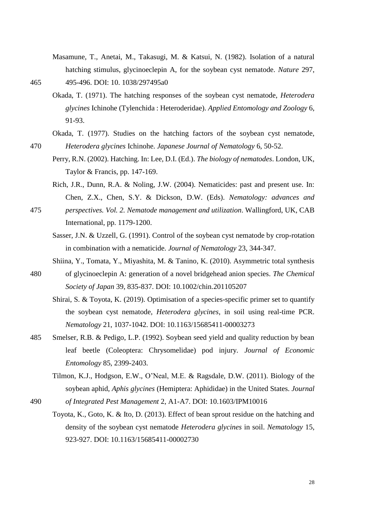Masamune, T., Anetai, M., Takasugi, M. & Katsui, N. (1982). Isolation of a natural hatching stimulus, glycinoeclepin A, for the soybean cyst nematode. *Nature* 297, 465 495-496. DOI: 10. 1038/297495a0

- Okada, T. (1971). The hatching responses of the soybean cyst nematode, *Heterodera glycines* Ichinohe (Tylenchida : Heteroderidae). *Applied Entomology and Zoology* 6, 91-93.
- Okada, T. (1977). Studies on the hatching factors of the soybean cyst nematode, 470 *Heterodera glycines* Ichinohe. *Japanese Journal of Nematology* 6, 50-52.
	- Perry, R.N. (2002). Hatching. In: Lee, D.I. (Ed.). *The biology of nematodes*. London, UK, Taylor & Francis, pp. 147-169.
	- Rich, J.R., Dunn, R.A. & Noling, J.W. (2004). Nematicides: past and present use. In: Chen, Z.X., Chen, S.Y. & Dickson, D.W. (Eds). *Nematology: advances and*
- 475 *perspectives. Vol. 2. Nematode management and utilization*. Wallingford, UK, CAB International, pp. 1179-1200.
	- Sasser, J.N. & Uzzell, G. (1991). Control of the soybean cyst nematode by crop-rotation in combination with a nematicide. *Journal of Nematology* 23, 344-347.
	- Shiina, Y., Tomata, Y., Miyashita, M. & Tanino, K. (2010). Asymmetric total synthesis
- 480 of glycinoeclepin A: generation of a novel bridgehead anion species. *The Chemical Society of Japan* 39, 835-837. DOI: 10.1002/chin.201105207
	- Shirai, S. & Toyota, K. (2019). Optimisation of a species-specific primer set to quantify the soybean cyst nematode, *Heterodera glycines*, in soil using real-time PCR. *Nematology* 21, 1037-1042. DOI: 10.1163/15685411-00003273
- 485 Smelser, R.B. & Pedigo, L.P. (1992). Soybean seed yield and quality reduction by bean leaf beetle (Coleoptera: Chrysomelidae) pod injury. *Journal of Economic Entomology* 85, 2399-2403.
	- Tilmon, K.J., Hodgson, E.W., O'Neal, M.E. & Ragsdale, D.W. (2011). Biology of the soybean aphid, *Aphis glycines* (Hemiptera: Aphididae) in the United States. *Journal*

490 *of Integrated Pest Management* 2, A1-A7. DOI: 10.1603/IPM10016

Toyota, K., Goto, K. & Ito, D. (2013). Effect of bean sprout residue on the hatching and density of the soybean cyst nematode *Heterodera glycines* in soil. *Nematology* 15, 923-927. DOI: 10.1163/15685411-00002730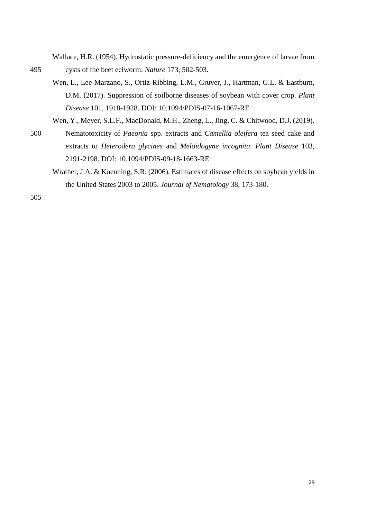Wallace, H.R. (1954). Hydrostatic pressure-deficiency and the emergence of larvae from 495 cysts of the beet eelworm. *Nature* 173, 502-503.

Wen, L., Lee-Marzano, S., Ortiz-Ribbing, L.M., Gruver, J., Hartman, G.L. & Eastburn, D.M. (2017). Suppression of soilborne diseases of soybean with cover crop. *Plant Disease* 101, 1918-1928. DOI: 10.1094/PDIS-07-16-1067-RE

Wen, Y., Meyer, S.L.F., MacDonald, M.H., Zheng, L., Jing, C. & Chitwood, D.J. (2019).

- 500 Nematotoxicity of *Paeonia* spp. extracts and *Camellia oleifera* tea seed cake and extracts to *Heterodera glycines* and *Meloidogyne incognita*. *Plant Disease* 103, 2191-2198. DOI: 10.1094/PDIS-09-18-1663-RE
	- Wrather, J.A. & Koenning, S.R. (2006). Estimates of disease effects on soybean yields in the United States 2003 to 2005. *Journal of Nematology* 38, 173-180.

505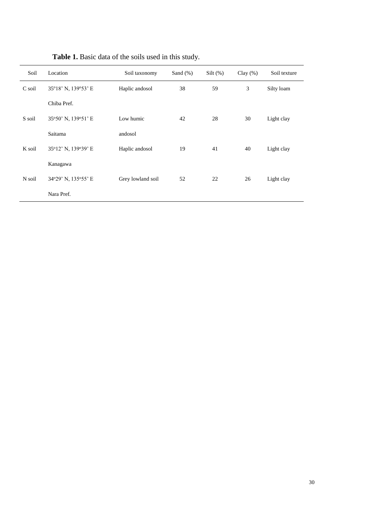| Soil   | Location            | Soil taxonomy     | Sand $(\%)$ | $Silt$ (%) | Clay $(\% )$ | Soil texture |
|--------|---------------------|-------------------|-------------|------------|--------------|--------------|
| C soil | 35°18' N, 139°53' E | Haplic andosol    | 38          | 59         | 3            | Silty loam   |
|        | Chiba Pref.         |                   |             |            |              |              |
| S soil | 35°50' N, 139°51' E | Low humic         | 42          | 28         | 30           | Light clay   |
|        | Saitama             | andosol           |             |            |              |              |
| K soil | 35°12' N, 139°39' E | Haplic andosol    | 19          | 41         | 40           | Light clay   |
|        | Kanagawa            |                   |             |            |              |              |
| N soil | 34°29' N, 135°55' E | Grey lowland soil | 52          | 22         | 26           | Light clay   |
|        | Nara Pref.          |                   |             |            |              |              |

| Table 1. Basic data of the soils used in this study. |  |  |  |  |  |  |  |  |  |
|------------------------------------------------------|--|--|--|--|--|--|--|--|--|
|------------------------------------------------------|--|--|--|--|--|--|--|--|--|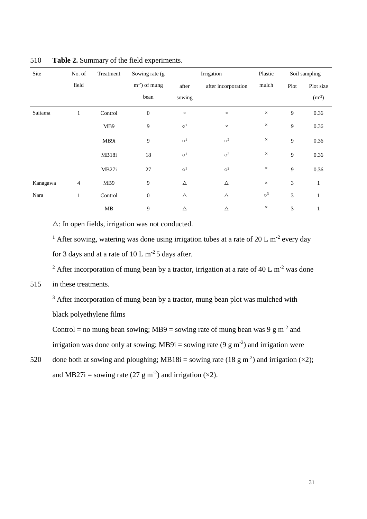| Site     | No. of         | Treatment | Sowing rate (g)  |                      | Irrigation           | Plastic              |                | Soil sampling |
|----------|----------------|-----------|------------------|----------------------|----------------------|----------------------|----------------|---------------|
|          | field          |           | $m-2$ ) of mung  | after                | after incorporation  | mulch                | Plot           | Plot size     |
|          |                |           | bean             | sowing               |                      |                      |                | $(m^{-2})$    |
| Saitama  | $\mathbf{1}$   | Control   | $\boldsymbol{0}$ | $\times$             | $\times$             | $\times$             | 9              | $0.36\,$      |
|          |                | MB9       | 9                | $\circ$ <sup>1</sup> | $\times$             | $\times$             | 9              | 0.36          |
|          |                | MB9i      | 9                | $\circ$ <sup>1</sup> | $\circ^2$            | $\times$             | 9              | 0.36          |
|          |                | MB18i     | 18               | $\circ ^1$           | $\circ^2$            | $\times$             | $\overline{9}$ | 0.36          |
|          |                | MB27i     | 27               | $\circ$ <sup>1</sup> | $\circ$ <sup>2</sup> | $\times$             | 9              | 0.36          |
| Kanagawa | $\overline{4}$ | MB9       | 9                | $\triangle$          | $\triangle$          | $\times$             | $\overline{3}$ | $\mathbf{1}$  |
| Nara     | $\mathbf{1}$   | Control   | $\boldsymbol{0}$ | $\triangle$          | $\triangle$          | $\circ$ <sup>3</sup> | $\overline{3}$ | 1             |
|          |                | MB        | 9                | $\triangle$          | $\triangle$          | $\times$             | 3              | $\mathbf{1}$  |

510 **Table 2.** Summary of the field experiments.

 $\triangle$ : In open fields, irrigation was not conducted.

<sup>1</sup> After sowing, watering was done using irrigation tubes at a rate of 20 L m<sup>-2</sup> every day for 3 days and at a rate of  $10 \text{ L m}^{-2}$  5 days after.

<sup>2</sup> After incorporation of mung bean by a tractor, irrigation at a rate of 40 L m<sup>-2</sup> was done

# 515 in these treatments.

 $3$  After incorporation of mung bean by a tractor, mung bean plot was mulched with black polyethylene films

Control = no mung bean sowing; MB9 = sowing rate of mung bean was 9 g m<sup>-2</sup> and irrigation was done only at sowing; MB9i = sowing rate (9 g m<sup>-2</sup>) and irrigation were

520 done both at sowing and ploughing; MB18i = sowing rate (18 g m<sup>-2</sup>) and irrigation ( $\times$ 2); and MB27i = sowing rate (27 g m<sup>-2</sup>) and irrigation ( $\times$ 2).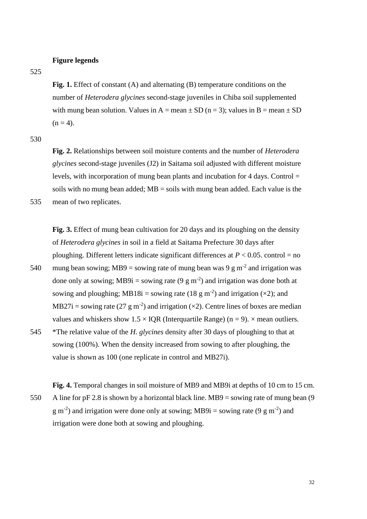## **Figure legends**

525

**Fig. 1.** Effect of constant (A) and alternating (B) temperature conditions on the number of *Heterodera glycines* second-stage juveniles in Chiba soil supplemented with mung bean solution. Values in A = mean  $\pm$  SD (n = 3); values in B = mean  $\pm$  SD  $(n = 4)$ .

530

**Fig. 2.** Relationships between soil moisture contents and the number of *Heterodera glycines* second-stage juveniles (J2) in Saitama soil adjusted with different moisture levels, with incorporation of mung bean plants and incubation for 4 days. Control  $=$ soils with no mung bean added;  $MB =$  soils with mung bean added. Each value is the 535 mean of two replicates.

**Fig. 3.** Effect of mung bean cultivation for 20 days and its ploughing on the density of *Heterodera glycines* in soil in a field at Saitama Prefecture 30 days after ploughing. Different letters indicate significant differences at  $P < 0.05$ . control = no 540 mung bean sowing; MB9 = sowing rate of mung bean was 9 g m<sup>-2</sup> and irrigation was done only at sowing; MB9i = sowing rate  $(9 \text{ g m}^{-2})$  and irrigation was done both at sowing and ploughing; MB18i = sowing rate (18 g m<sup>-2</sup>) and irrigation ( $\times$ 2); and MB27i = sowing rate (27 g m<sup>-2</sup>) and irrigation ( $\times$ 2). Centre lines of boxes are median values and whiskers show  $1.5 \times IQR$  (Interquartile Range) (n = 9).  $\times$  mean outliers. 545 \*The relative value of the *H. glycines* density after 30 days of ploughing to that at

sowing (100%). When the density increased from sowing to after ploughing, the value is shown as 100 (one replicate in control and MB27i).

**Fig. 4.** Temporal changes in soil moisture of MB9 and MB9i at depths of 10 cm to 15 cm. 550 A line for pF 2.8 is shown by a horizontal black line. MB9 = sowing rate of mung bean (9  $g$  m<sup>-2</sup>) and irrigation were done only at sowing; MB9i = sowing rate (9  $g$  m<sup>-2</sup>) and irrigation were done both at sowing and ploughing.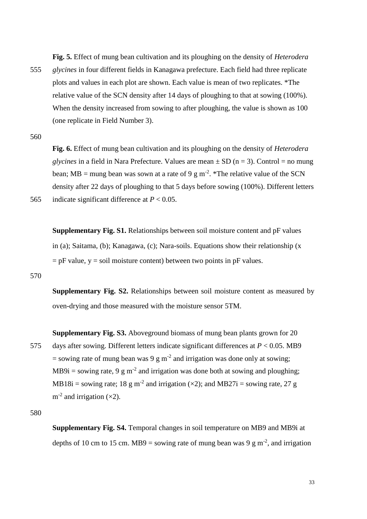**Fig. 5.** Effect of mung bean cultivation and its ploughing on the density of *Heterodera* 

555 *glycines* in four different fields in Kanagawa prefecture. Each field had three replicate plots and values in each plot are shown. Each value is mean of two replicates. \*The relative value of the SCN density after 14 days of ploughing to that at sowing (100%). When the density increased from sowing to after ploughing, the value is shown as 100 (one replicate in Field Number 3).

560

**Fig. 6.** Effect of mung bean cultivation and its ploughing on the density of *Heterodera glycines* in a field in Nara Prefecture. Values are mean  $\pm$  SD (n = 3). Control = no mung bean; MB = mung bean was sown at a rate of 9 g m<sup>-2</sup>. \*The relative value of the SCN density after 22 days of ploughing to that 5 days before sowing (100%). Different letters 565 indicate significant difference at  $P < 0.05$ .

**Supplementary Fig. S1.** Relationships between soil moisture content and pF values in (a); Saitama, (b); Kanagawa, (c); Nara-soils. Equations show their relationship (x  $=$  pF value, y  $=$  soil moisture content) between two points in pF values.

# 570

**Supplementary Fig. S2.** Relationships between soil moisture content as measured by oven-drying and those measured with the moisture sensor 5TM.

**Supplementary Fig. S3.** Aboveground biomass of mung bean plants grown for 20 575 days after sowing. Different letters indicate significant differences at *P* < 0.05. MB9 = sowing rate of mung bean was 9 g m<sup>-2</sup> and irrigation was done only at sowing; MB9i = sowing rate, 9 g m<sup>-2</sup> and irrigation was done both at sowing and ploughing; MB18i = sowing rate; 18 g m<sup>-2</sup> and irrigation ( $\times$ 2); and MB27i = sowing rate, 27 g  $m^{-2}$  and irrigation ( $\times$ 2).

580

**Supplementary Fig. S4.** Temporal changes in soil temperature on MB9 and MB9i at depths of 10 cm to 15 cm. MB9 = sowing rate of mung bean was 9 g m<sup>-2</sup>, and irrigation